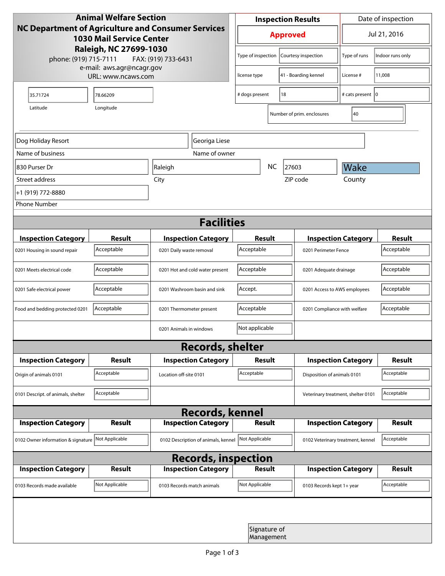| <b>Animal Welfare Section</b><br>NC Department of Agriculture and Consumer Services<br><b>1030 Mail Service Center</b><br>Raleigh, NC 27699-1030<br>phone: (919) 715-7111<br>FAX: (919) 733-6431 |                                                 |                                     | <b>Inspection Results</b>                  |                                           |                           | Date of inspection                 |                  |  |
|--------------------------------------------------------------------------------------------------------------------------------------------------------------------------------------------------|-------------------------------------------------|-------------------------------------|--------------------------------------------|-------------------------------------------|---------------------------|------------------------------------|------------------|--|
|                                                                                                                                                                                                  |                                                 |                                     | <b>Approved</b>                            |                                           |                           | Jul 21, 2016                       |                  |  |
|                                                                                                                                                                                                  |                                                 |                                     |                                            | Type of inspection<br>Courtesy inspection |                           | Type of runs                       | Indoor runs only |  |
|                                                                                                                                                                                                  | e-mail: aws.agr@ncagr.gov<br>URL: www.ncaws.com |                                     | license type                               |                                           | 41 - Boarding kennel      | License #                          | 11,008           |  |
| 35.71724                                                                                                                                                                                         | 78.66209                                        |                                     | # dogs present                             |                                           | 18                        | # cats present   0                 |                  |  |
| Latitude                                                                                                                                                                                         |                                                 |                                     |                                            | Number of prim. enclosures                | 40                        |                                    |                  |  |
| Dog Holiday Resort                                                                                                                                                                               |                                                 | Georiga Liese                       |                                            |                                           |                           |                                    |                  |  |
| Name of business                                                                                                                                                                                 |                                                 | Name of owner                       |                                            |                                           |                           |                                    |                  |  |
| 1830 Purser Dr                                                                                                                                                                                   |                                                 | Raleigh                             |                                            | <b>NC</b>                                 | 27603                     | Wake                               |                  |  |
| Street address                                                                                                                                                                                   |                                                 | City                                |                                            |                                           | ZIP code                  | County                             |                  |  |
| +1 (919) 772-8880                                                                                                                                                                                |                                                 |                                     |                                            |                                           |                           |                                    |                  |  |
| <b>Phone Number</b>                                                                                                                                                                              |                                                 |                                     |                                            |                                           |                           |                                    |                  |  |
| <b>Facilities</b>                                                                                                                                                                                |                                                 |                                     |                                            |                                           |                           |                                    |                  |  |
| <b>Inspection Category</b>                                                                                                                                                                       | <b>Result</b>                                   | <b>Inspection Category</b>          | Result                                     |                                           |                           | <b>Inspection Category</b>         | <b>Result</b>    |  |
| 0201 Housing in sound repair                                                                                                                                                                     | Acceptable                                      | 0201 Daily waste removal            | Acceptable                                 |                                           | 0201 Perimeter Fence      |                                    | Acceptable       |  |
| 0201 Meets electrical code                                                                                                                                                                       | Acceptable                                      | 0201 Hot and cold water present     | Acceptable<br>0201 Adequate drainage       |                                           |                           | Acceptable                         |                  |  |
| 0201 Safe electrical power                                                                                                                                                                       | Acceptable                                      | 0201 Washroom basin and sink        | Accept.<br>0201 Access to AWS employees    |                                           |                           | Acceptable                         |                  |  |
| Food and bedding protected 0201                                                                                                                                                                  | Acceptable                                      | 0201 Thermometer present            | Acceptable<br>0201 Compliance with welfare |                                           |                           | Acceptable                         |                  |  |
|                                                                                                                                                                                                  |                                                 | 0201 Animals in windows             | Not applicable                             |                                           |                           |                                    |                  |  |
| <b>Records, shelter</b>                                                                                                                                                                          |                                                 |                                     |                                            |                                           |                           |                                    |                  |  |
| <b>Inspection Category</b>                                                                                                                                                                       | <b>Result</b>                                   | <b>Inspection Category</b>          | Result                                     |                                           |                           | <b>Inspection Category</b>         | <b>Result</b>    |  |
| Origin of animals 0101                                                                                                                                                                           | Acceptable                                      | Location off-site 0101              | Acceptable                                 |                                           |                           | Disposition of animals 0101        |                  |  |
| 0101 Descript. of animals, shelter                                                                                                                                                               | Acceptable                                      |                                     |                                            |                                           |                           | Veterinary treatment, shelter 0101 | Acceptable       |  |
| <b>Records, kennel</b>                                                                                                                                                                           |                                                 |                                     |                                            |                                           |                           |                                    |                  |  |
| <b>Inspection Category</b>                                                                                                                                                                       | Result                                          | <b>Inspection Category</b>          | <b>Result</b>                              |                                           |                           | <b>Inspection Category</b>         | Result           |  |
| 0102 Owner information & signature Not Applicable                                                                                                                                                |                                                 | 0102 Description of animals, kennel | Not Applicable                             |                                           |                           | 0102 Veterinary treatment, kennel  | Acceptable       |  |
| <b>Records, inspection</b>                                                                                                                                                                       |                                                 |                                     |                                            |                                           |                           |                                    |                  |  |
| <b>Inspection Category</b>                                                                                                                                                                       | <b>Result</b>                                   | <b>Inspection Category</b>          | Result                                     |                                           |                           | <b>Inspection Category</b>         | <b>Result</b>    |  |
| 0103 Records made available                                                                                                                                                                      | Not Applicable                                  | 0103 Records match animals          | Not Applicable                             |                                           | 0103 Records kept 1+ year |                                    | Acceptable       |  |
|                                                                                                                                                                                                  |                                                 |                                     |                                            |                                           |                           |                                    |                  |  |
|                                                                                                                                                                                                  |                                                 |                                     | Signature of<br>Management                 |                                           |                           |                                    |                  |  |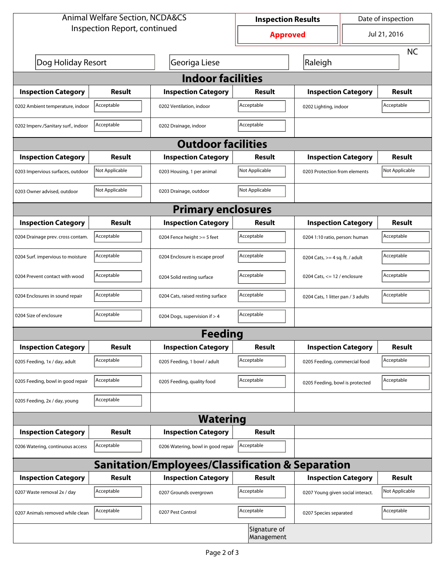| <b>Animal Welfare Section, NCDA&amp;CS</b> |                | <b>Inspection Results</b>                                   |                            | Date of inspection                  |                            |                |  |  |
|--------------------------------------------|----------------|-------------------------------------------------------------|----------------------------|-------------------------------------|----------------------------|----------------|--|--|
| Inspection Report, continued               |                | <b>Approved</b>                                             |                            | Jul 21, 2016                        |                            |                |  |  |
|                                            |                |                                                             |                            |                                     |                            | <b>NC</b>      |  |  |
| Dog Holiday Resort                         |                | Georiga Liese                                               |                            | Raleigh                             |                            |                |  |  |
| <b>Indoor facilities</b>                   |                |                                                             |                            |                                     |                            |                |  |  |
| <b>Inspection Category</b>                 | Result         | <b>Inspection Category</b>                                  | Result                     |                                     | <b>Inspection Category</b> | Result         |  |  |
| 0202 Ambient temperature, indoor           | Acceptable     | 0202 Ventilation, indoor                                    | Acceptable                 | Acceptable<br>0202 Lighting, indoor |                            |                |  |  |
| 0202 Imperv./Sanitary surf., indoor        | Acceptable     | 0202 Drainage, indoor                                       | Acceptable                 |                                     |                            |                |  |  |
|                                            |                | <b>Outdoor facilities</b>                                   |                            |                                     |                            |                |  |  |
| <b>Inspection Category</b>                 | Result         | <b>Inspection Category</b>                                  | Result                     | <b>Inspection Category</b>          |                            | Result         |  |  |
| 0203 Impervious surfaces, outdoor          | Not Applicable | 0203 Housing, 1 per animal                                  | Not Applicable             | 0203 Protection from elements       |                            | Not Applicable |  |  |
| 0203 Owner advised, outdoor                | Not Applicable | 0203 Drainage, outdoor                                      | Not Applicable             |                                     |                            |                |  |  |
|                                            |                | <b>Primary enclosures</b>                                   |                            |                                     |                            |                |  |  |
| <b>Inspection Category</b>                 | Result         | <b>Inspection Category</b>                                  | Result                     |                                     | <b>Inspection Category</b> | Result         |  |  |
| 0204 Drainage prev. cross contam.          | Acceptable     | 0204 Fence height >= 5 feet                                 | Acceptable                 | 0204 1:10 ratio, person: human      |                            | Acceptable     |  |  |
| 0204 Surf. impervious to moisture          | Acceptable     | 0204 Enclosure is escape proof                              | Acceptable                 | 0204 Cats, $>=$ 4 sq. ft. / adult   |                            | Acceptable     |  |  |
| 0204 Prevent contact with wood             | Acceptable     | 0204 Solid resting surface                                  | Acceptable                 | 0204 Cats, $<= 12$ / enclosure      |                            | Acceptable     |  |  |
| 0204 Enclosures in sound repair            | Acceptable     | 0204 Cats, raised resting surface                           | Acceptable                 | 0204 Cats, 1 litter pan / 3 adults  |                            | Acceptable     |  |  |
| 0204 Size of enclosure                     | Acceptable     | 0204 Dogs, supervision if > 4                               | Acceptable                 |                                     |                            |                |  |  |
|                                            |                | <b>Feeding</b>                                              |                            |                                     |                            |                |  |  |
| <b>Inspection Category</b>                 | <b>Result</b>  | <b>Inspection Category</b>                                  | <b>Result</b>              |                                     | <b>Inspection Category</b> | <b>Result</b>  |  |  |
| 0205 Feeding, 1x / day, adult              | Acceptable     | 0205 Feeding, 1 bowl / adult                                | Acceptable                 | 0205 Feeding, commercial food       |                            | Acceptable     |  |  |
| 0205 Feeding, bowl in good repair          | Acceptable     | 0205 Feeding, quality food                                  | Acceptable                 | 0205 Feeding, bowl is protected     |                            | Acceptable     |  |  |
| 0205 Feeding, 2x / day, young              | Acceptable     |                                                             |                            |                                     |                            |                |  |  |
|                                            |                | <b>Watering</b>                                             |                            |                                     |                            |                |  |  |
| <b>Inspection Category</b>                 | <b>Result</b>  | <b>Inspection Category</b>                                  | <b>Result</b>              |                                     |                            |                |  |  |
| 0206 Watering, continuous access           | Acceptable     | 0206 Watering, bowl in good repair                          | Acceptable                 |                                     |                            |                |  |  |
|                                            |                | <b>Sanitation/Employees/Classification &amp; Separation</b> |                            |                                     |                            |                |  |  |
| <b>Inspection Category</b>                 | <b>Result</b>  | <b>Inspection Category</b>                                  | Result                     |                                     | <b>Inspection Category</b> | <b>Result</b>  |  |  |
| 0207 Waste removal 2x / day                | Acceptable     | 0207 Grounds overgrown                                      | Acceptable                 | 0207 Young given social interact.   |                            | Not Applicable |  |  |
| 0207 Animals removed while clean           | Acceptable     | 0207 Pest Control                                           | Acceptable                 | 0207 Species separated              |                            | Acceptable     |  |  |
|                                            |                |                                                             | Signature of<br>Management |                                     |                            |                |  |  |